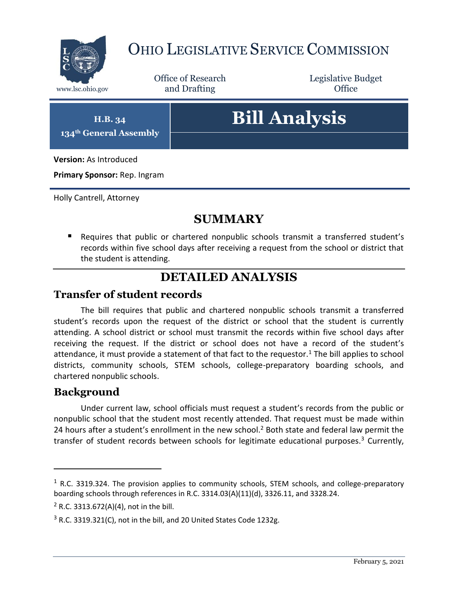

# OHIO LEGISLATIVE SERVICE COMMISSION

Office of Research www.lsc.ohio.gov **and Drafting Office** 

Legislative Budget

**H.B. 34 134th General Assembly**

# **Bill Analysis**

**Version:** As Introduced

**Primary Sponsor:** Rep. Ingram

Holly Cantrell, Attorney

## **SUMMARY**

 Requires that public or chartered nonpublic schools transmit a transferred student's records within five school days after receiving a request from the school or district that the student is attending.

## **DETAILED ANALYSIS**

#### **Transfer of student records**

The bill requires that public and chartered nonpublic schools transmit a transferred student's records upon the request of the district or school that the student is currently attending. A school district or school must transmit the records within five school days after receiving the request. If the district or school does not have a record of the student's attendance, it must provide a statement of that fact to the requestor.<sup>1</sup> The bill applies to school districts, community schools, STEM schools, college-preparatory boarding schools, and chartered nonpublic schools.

#### **Background**

 $\overline{a}$ 

Under current law, school officials must request a student's records from the public or nonpublic school that the student most recently attended. That request must be made within 24 hours after a student's enrollment in the new school.<sup>2</sup> Both state and federal law permit the transfer of student records between schools for legitimate educational purposes.<sup>3</sup> Currently,

 $1$  R.C. 3319.324. The provision applies to community schools, STEM schools, and college-preparatory boarding schools through references in R.C. 3314.03(A)(11)(d), 3326.11, and 3328.24.

 $2$  R.C. 3313.672(A)(4), not in the bill.

 $3$  R.C. 3319.321(C), not in the bill, and 20 United States Code 1232g.